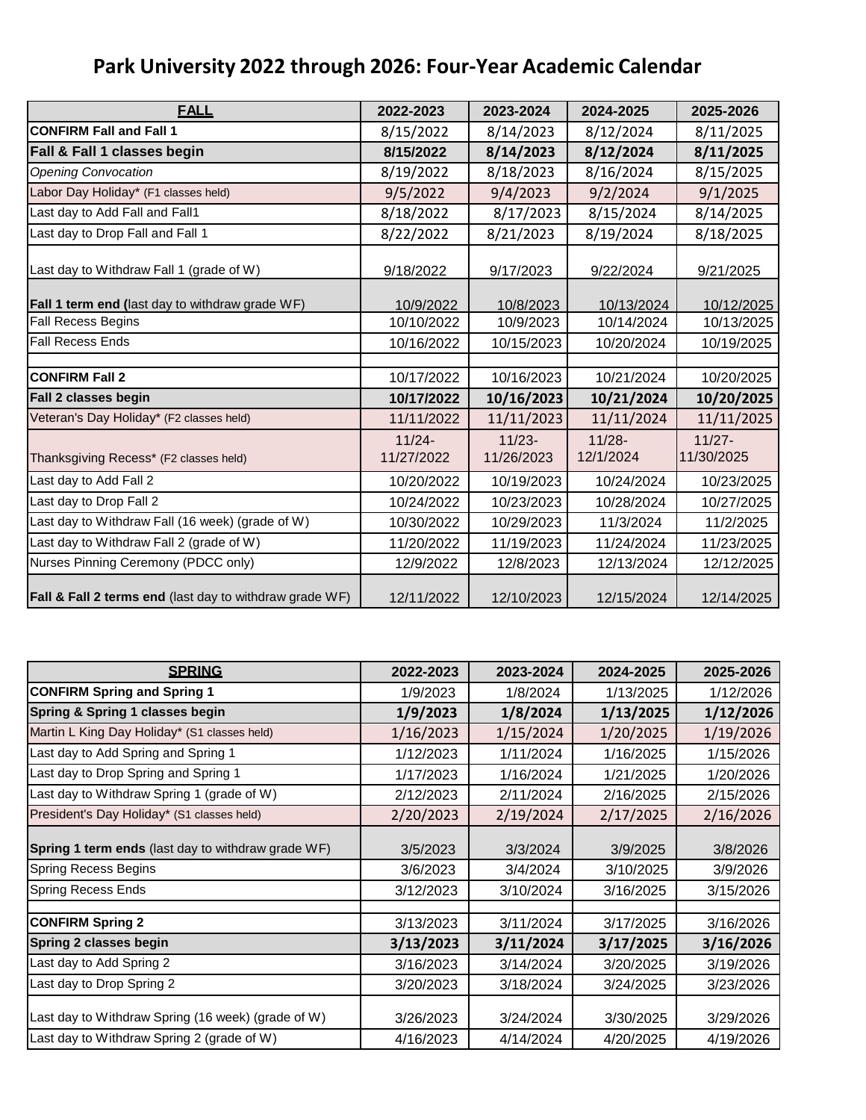## **Park University 2022 through 2026: Four-Year Academic Calendar**

| <b>FALL</b>                                                        | 2022-2023               | 2023-2024               | 2024-2025              | 2025-2026               |
|--------------------------------------------------------------------|-------------------------|-------------------------|------------------------|-------------------------|
| <b>CONFIRM Fall and Fall 1</b>                                     | 8/15/2022               | 8/14/2023               | 8/12/2024              | 8/11/2025               |
| <b>Fall &amp; Fall 1 classes begin</b>                             | 8/15/2022               | 8/14/2023               | 8/12/2024              | 8/11/2025               |
| <b>Opening Convocation</b>                                         | 8/19/2022               | 8/18/2023               | 8/16/2024              | 8/15/2025               |
| Labor Day Holiday* (F1 classes held)                               | 9/5/2022                | 9/4/2023                | 9/2/2024               | 9/1/2025                |
| Last day to Add Fall and Fall1                                     | 8/18/2022               | 8/17/2023               | 8/15/2024              | 8/14/2025               |
| Last day to Drop Fall and Fall 1                                   | 8/22/2022               | 8/21/2023               | 8/19/2024              | 8/18/2025               |
| Last day to Withdraw Fall 1 (grade of W)                           | 9/18/2022               | 9/17/2023               | 9/22/2024              | 9/21/2025               |
| Fall 1 term end (last day to withdraw grade WF)                    | 10/9/2022               | 10/8/2023               | 10/13/2024             | 10/12/2025              |
| <b>Fall Recess Begins</b>                                          | 10/10/2022              | 10/9/2023               | 10/14/2024             | 10/13/2025              |
| <b>Fall Recess Ends</b>                                            | 10/16/2022              | 10/15/2023              | 10/20/2024             | 10/19/2025              |
|                                                                    |                         |                         |                        |                         |
| <b>CONFIRM Fall 2</b>                                              | 10/17/2022              | 10/16/2023              | 10/21/2024             | 10/20/2025              |
| Fall 2 classes begin                                               | 10/17/2022              | 10/16/2023              | 10/21/2024             | 10/20/2025              |
| Veteran's Day Holiday* (F2 classes held)                           | 11/11/2022              | 11/11/2023              | 11/11/2024             | 11/11/2025              |
| Thanksgiving Recess* (F2 classes held)                             | $11/24 -$<br>11/27/2022 | $11/23 -$<br>11/26/2023 | $11/28 -$<br>12/1/2024 | $11/27 -$<br>11/30/2025 |
| Last day to Add Fall 2                                             | 10/20/2022              | 10/19/2023              | 10/24/2024             | 10/23/2025              |
| Last day to Drop Fall 2                                            | 10/24/2022              | 10/23/2023              | 10/28/2024             | 10/27/2025              |
| Last day to Withdraw Fall (16 week) (grade of W)                   | 10/30/2022              | 10/29/2023              | 11/3/2024              | 11/2/2025               |
| Last day to Withdraw Fall 2 (grade of W)                           | 11/20/2022              | 11/19/2023              | 11/24/2024             | 11/23/2025              |
| Nurses Pinning Ceremony (PDCC only)                                | 12/9/2022               | 12/8/2023               | 12/13/2024             | 12/12/2025              |
| <b>Fall &amp; Fall 2 terms end</b> (last day to withdraw grade WF) | 12/11/2022              | 12/10/2023              | 12/15/2024             | 12/14/2025              |

| <b>SPRING</b>                                      | 2022-2023 | 2023-2024 | 2024-2025 | 2025-2026 |
|----------------------------------------------------|-----------|-----------|-----------|-----------|
| <b>CONFIRM Spring and Spring 1</b>                 | 1/9/2023  | 1/8/2024  | 1/13/2025 | 1/12/2026 |
| Spring & Spring 1 classes begin                    | 1/9/2023  | 1/8/2024  | 1/13/2025 | 1/12/2026 |
| Martin L King Day Holiday* (S1 classes held)       | 1/16/2023 | 1/15/2024 | 1/20/2025 | 1/19/2026 |
| Last day to Add Spring and Spring 1                | 1/12/2023 | 1/11/2024 | 1/16/2025 | 1/15/2026 |
| Last day to Drop Spring and Spring 1               | 1/17/2023 | 1/16/2024 | 1/21/2025 | 1/20/2026 |
| Last day to Withdraw Spring 1 (grade of W)         | 2/12/2023 | 2/11/2024 | 2/16/2025 | 2/15/2026 |
| President's Day Holiday* (S1 classes held)         | 2/20/2023 | 2/19/2024 | 2/17/2025 | 2/16/2026 |
| Spring 1 term ends (last day to withdraw grade WF) | 3/5/2023  | 3/3/2024  | 3/9/2025  | 3/8/2026  |
| <b>Spring Recess Begins</b>                        | 3/6/2023  | 3/4/2024  | 3/10/2025 | 3/9/2026  |
| <b>Spring Recess Ends</b>                          | 3/12/2023 | 3/10/2024 | 3/16/2025 | 3/15/2026 |
|                                                    |           |           |           |           |
| <b>CONFIRM Spring 2</b>                            | 3/13/2023 | 3/11/2024 | 3/17/2025 | 3/16/2026 |
| Spring 2 classes begin                             | 3/13/2023 | 3/11/2024 | 3/17/2025 | 3/16/2026 |
| Last day to Add Spring 2                           | 3/16/2023 | 3/14/2024 | 3/20/2025 | 3/19/2026 |
| Last day to Drop Spring 2                          | 3/20/2023 | 3/18/2024 | 3/24/2025 | 3/23/2026 |
| Last day to Withdraw Spring (16 week) (grade of W) | 3/26/2023 | 3/24/2024 | 3/30/2025 | 3/29/2026 |
| Last day to Withdraw Spring 2 (grade of W)         | 4/16/2023 | 4/14/2024 | 4/20/2025 | 4/19/2026 |